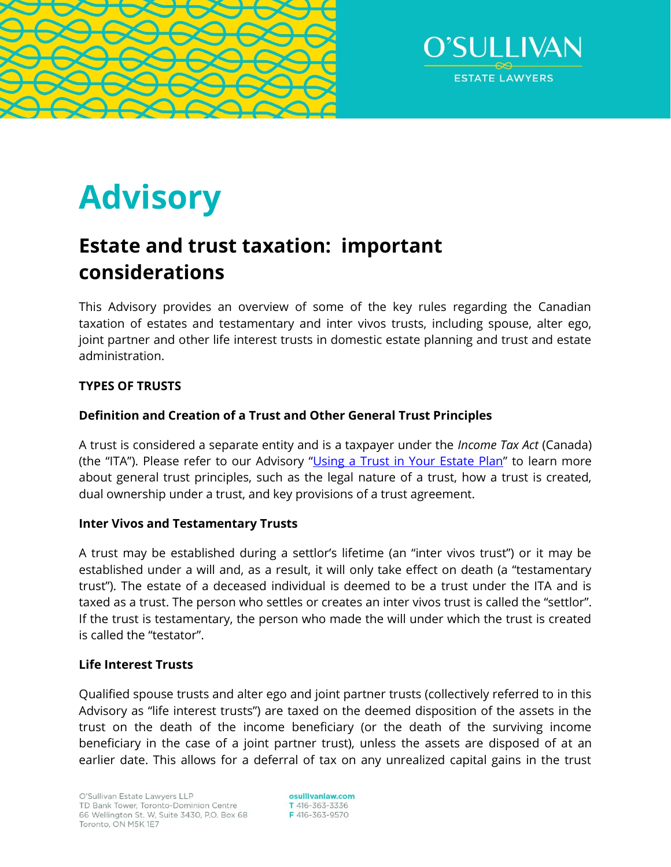



# **Advisory**

# **Estate and trust taxation: important considerations**

This Advisory provides an overview of some of the key rules regarding the Canadian taxation of estates and testamentary and inter vivos trusts, including spouse, alter ego, joint partner and other life interest trusts in domestic estate planning and trust and estate administration.

# **TYPES OF TRUSTS**

# **Definition and Creation of a Trust and Other General Trust Principles**

A trust is considered a separate entity and is a taxpayer under the *Income Tax Act* (Canada) (the "ITA"). Please refer to our Advisory "[Using a Trust in Your Estate Plan](https://www.osullivanlaw.com/Advisory-Letters/Using-a-trust-in-your-estate-plan.pdf)" to learn more about general trust principles, such as the legal nature of a trust, how a trust is created, dual ownership under a trust, and key provisions of a trust agreement.

### **Inter Vivos and Testamentary Trusts**

A trust may be established during a settlor's lifetime (an "inter vivos trust") or it may be established under a will and, as a result, it will only take effect on death (a "testamentary trust"). The estate of a deceased individual is deemed to be a trust under the ITA and is taxed as a trust. The person who settles or creates an inter vivos trust is called the "settlor". If the trust is testamentary, the person who made the will under which the trust is created is called the "testator".

### **Life Interest Trusts**

Qualified spouse trusts and alter ego and joint partner trusts (collectively referred to in this Advisory as "life interest trusts") are taxed on the deemed disposition of the assets in the trust on the death of the income beneficiary (or the death of the surviving income beneficiary in the case of a joint partner trust), unless the assets are disposed of at an earlier date. This allows for a deferral of tax on any unrealized capital gains in the trust

osullivanlaw.com T 416-363-3336 F416-363-9570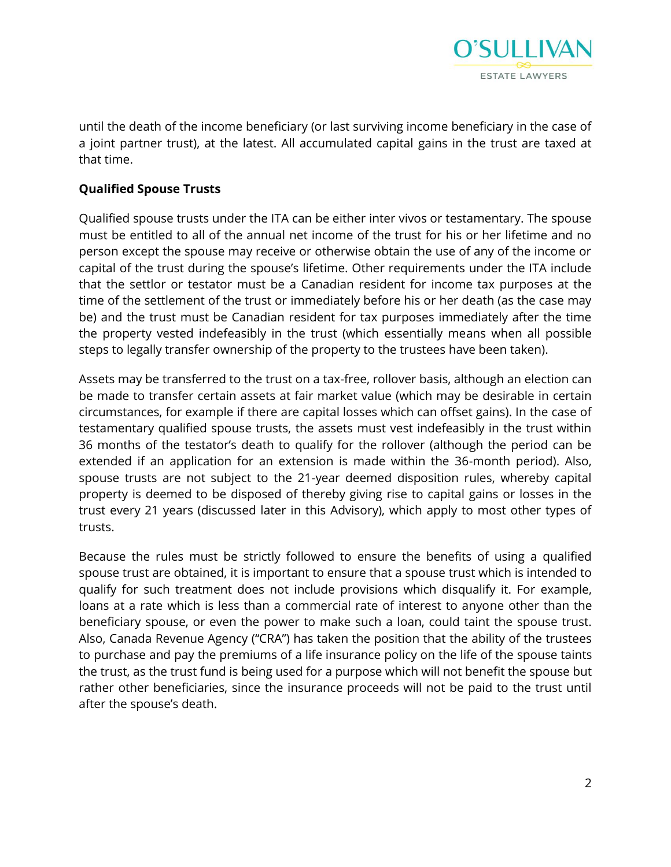

until the death of the income beneficiary (or last surviving income beneficiary in the case of a joint partner trust), at the latest. All accumulated capital gains in the trust are taxed at that time.

# **Qualified Spouse Trusts**

Qualified spouse trusts under the ITA can be either inter vivos or testamentary. The spouse must be entitled to all of the annual net income of the trust for his or her lifetime and no person except the spouse may receive or otherwise obtain the use of any of the income or capital of the trust during the spouse's lifetime. Other requirements under the ITA include that the settlor or testator must be a Canadian resident for income tax purposes at the time of the settlement of the trust or immediately before his or her death (as the case may be) and the trust must be Canadian resident for tax purposes immediately after the time the property vested indefeasibly in the trust (which essentially means when all possible steps to legally transfer ownership of the property to the trustees have been taken).

Assets may be transferred to the trust on a tax-free, rollover basis, although an election can be made to transfer certain assets at fair market value (which may be desirable in certain circumstances, for example if there are capital losses which can offset gains). In the case of testamentary qualified spouse trusts, the assets must vest indefeasibly in the trust within 36 months of the testator's death to qualify for the rollover (although the period can be extended if an application for an extension is made within the 36-month period). Also, spouse trusts are not subject to the 21-year deemed disposition rules, whereby capital property is deemed to be disposed of thereby giving rise to capital gains or losses in the trust every 21 years (discussed later in this Advisory), which apply to most other types of trusts.

Because the rules must be strictly followed to ensure the benefits of using a qualified spouse trust are obtained, it is important to ensure that a spouse trust which is intended to qualify for such treatment does not include provisions which disqualify it. For example, loans at a rate which is less than a commercial rate of interest to anyone other than the beneficiary spouse, or even the power to make such a loan, could taint the spouse trust. Also, Canada Revenue Agency ("CRA") has taken the position that the ability of the trustees to purchase and pay the premiums of a life insurance policy on the life of the spouse taints the trust, as the trust fund is being used for a purpose which will not benefit the spouse but rather other beneficiaries, since the insurance proceeds will not be paid to the trust until after the spouse's death.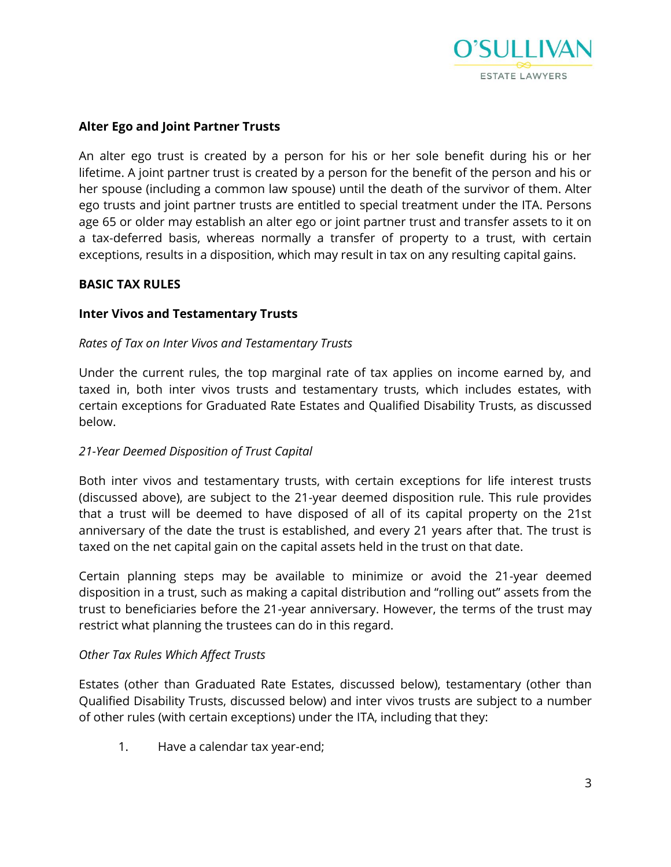

# **Alter Ego and Joint Partner Trusts**

An alter ego trust is created by a person for his or her sole benefit during his or her lifetime. A joint partner trust is created by a person for the benefit of the person and his or her spouse (including a common law spouse) until the death of the survivor of them. Alter ego trusts and joint partner trusts are entitled to special treatment under the ITA. Persons age 65 or older may establish an alter ego or joint partner trust and transfer assets to it on a tax-deferred basis, whereas normally a transfer of property to a trust, with certain exceptions, results in a disposition, which may result in tax on any resulting capital gains.

#### **BASIC TAX RULES**

#### **Inter Vivos and Testamentary Trusts**

#### *Rates of Tax on Inter Vivos and Testamentary Trusts*

Under the current rules, the top marginal rate of tax applies on income earned by, and taxed in, both inter vivos trusts and testamentary trusts, which includes estates, with certain exceptions for Graduated Rate Estates and Qualified Disability Trusts, as discussed below.

### *21-Year Deemed Disposition of Trust Capital*

Both inter vivos and testamentary trusts, with certain exceptions for life interest trusts (discussed above), are subject to the 21-year deemed disposition rule. This rule provides that a trust will be deemed to have disposed of all of its capital property on the 21st anniversary of the date the trust is established, and every 21 years after that. The trust is taxed on the net capital gain on the capital assets held in the trust on that date.

Certain planning steps may be available to minimize or avoid the 21-year deemed disposition in a trust, such as making a capital distribution and "rolling out" assets from the trust to beneficiaries before the 21-year anniversary. However, the terms of the trust may restrict what planning the trustees can do in this regard.

#### *Other Tax Rules Which Affect Trusts*

Estates (other than Graduated Rate Estates, discussed below), testamentary (other than Qualified Disability Trusts, discussed below) and inter vivos trusts are subject to a number of other rules (with certain exceptions) under the ITA, including that they:

1. Have a calendar tax year-end;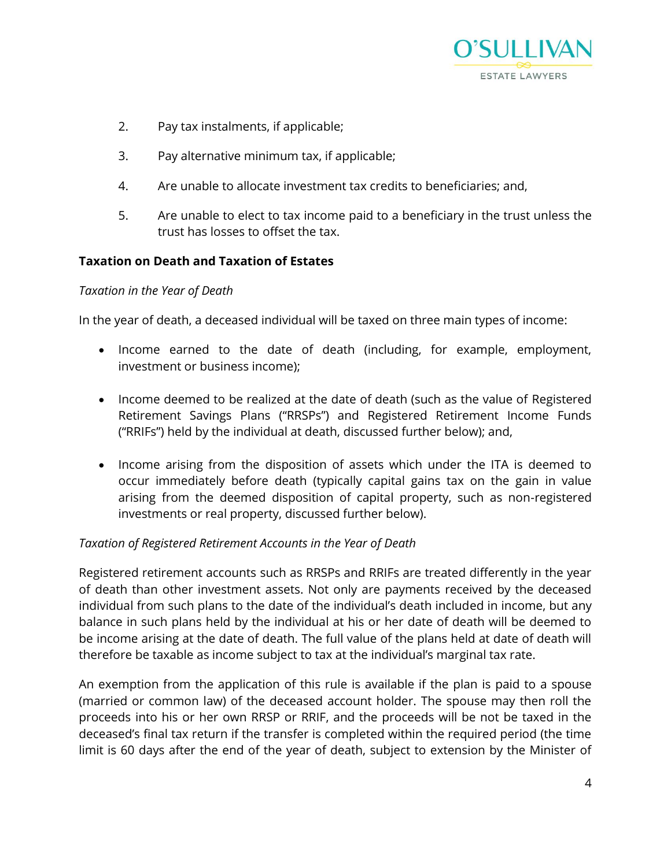

- 2. Pay tax instalments, if applicable;
- 3. Pay alternative minimum tax, if applicable;
- 4. Are unable to allocate investment tax credits to beneficiaries; and,
- 5. Are unable to elect to tax income paid to a beneficiary in the trust unless the trust has losses to offset the tax.

# **Taxation on Death and Taxation of Estates**

#### *Taxation in the Year of Death*

In the year of death, a deceased individual will be taxed on three main types of income:

- Income earned to the date of death (including, for example, employment, investment or business income);
- Income deemed to be realized at the date of death (such as the value of Registered Retirement Savings Plans ("RRSPs") and Registered Retirement Income Funds ("RRIFs") held by the individual at death, discussed further below); and,
- Income arising from the disposition of assets which under the ITA is deemed to occur immediately before death (typically capital gains tax on the gain in value arising from the deemed disposition of capital property, such as non-registered investments or real property, discussed further below).

### *Taxation of Registered Retirement Accounts in the Year of Death*

Registered retirement accounts such as RRSPs and RRIFs are treated differently in the year of death than other investment assets. Not only are payments received by the deceased individual from such plans to the date of the individual's death included in income, but any balance in such plans held by the individual at his or her date of death will be deemed to be income arising at the date of death. The full value of the plans held at date of death will therefore be taxable as income subject to tax at the individual's marginal tax rate.

An exemption from the application of this rule is available if the plan is paid to a spouse (married or common law) of the deceased account holder. The spouse may then roll the proceeds into his or her own RRSP or RRIF, and the proceeds will be not be taxed in the deceased's final tax return if the transfer is completed within the required period (the time limit is 60 days after the end of the year of death, subject to extension by the Minister of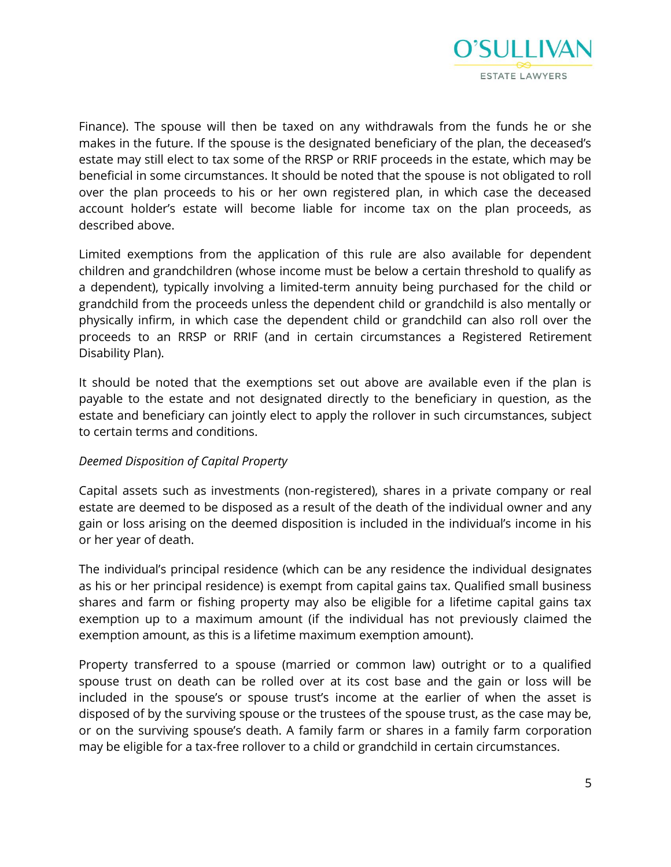

Finance). The spouse will then be taxed on any withdrawals from the funds he or she makes in the future. If the spouse is the designated beneficiary of the plan, the deceased's estate may still elect to tax some of the RRSP or RRIF proceeds in the estate, which may be beneficial in some circumstances. It should be noted that the spouse is not obligated to roll over the plan proceeds to his or her own registered plan, in which case the deceased account holder's estate will become liable for income tax on the plan proceeds, as described above.

Limited exemptions from the application of this rule are also available for dependent children and grandchildren (whose income must be below a certain threshold to qualify as a dependent), typically involving a limited-term annuity being purchased for the child or grandchild from the proceeds unless the dependent child or grandchild is also mentally or physically infirm, in which case the dependent child or grandchild can also roll over the proceeds to an RRSP or RRIF (and in certain circumstances a Registered Retirement Disability Plan).

It should be noted that the exemptions set out above are available even if the plan is payable to the estate and not designated directly to the beneficiary in question, as the estate and beneficiary can jointly elect to apply the rollover in such circumstances, subject to certain terms and conditions.

### *Deemed Disposition of Capital Property*

Capital assets such as investments (non-registered), shares in a private company or real estate are deemed to be disposed as a result of the death of the individual owner and any gain or loss arising on the deemed disposition is included in the individual's income in his or her year of death.

The individual's principal residence (which can be any residence the individual designates as his or her principal residence) is exempt from capital gains tax. Qualified small business shares and farm or fishing property may also be eligible for a lifetime capital gains tax exemption up to a maximum amount (if the individual has not previously claimed the exemption amount, as this is a lifetime maximum exemption amount).

Property transferred to a spouse (married or common law) outright or to a qualified spouse trust on death can be rolled over at its cost base and the gain or loss will be included in the spouse's or spouse trust's income at the earlier of when the asset is disposed of by the surviving spouse or the trustees of the spouse trust, as the case may be, or on the surviving spouse's death. A family farm or shares in a family farm corporation may be eligible for a tax-free rollover to a child or grandchild in certain circumstances.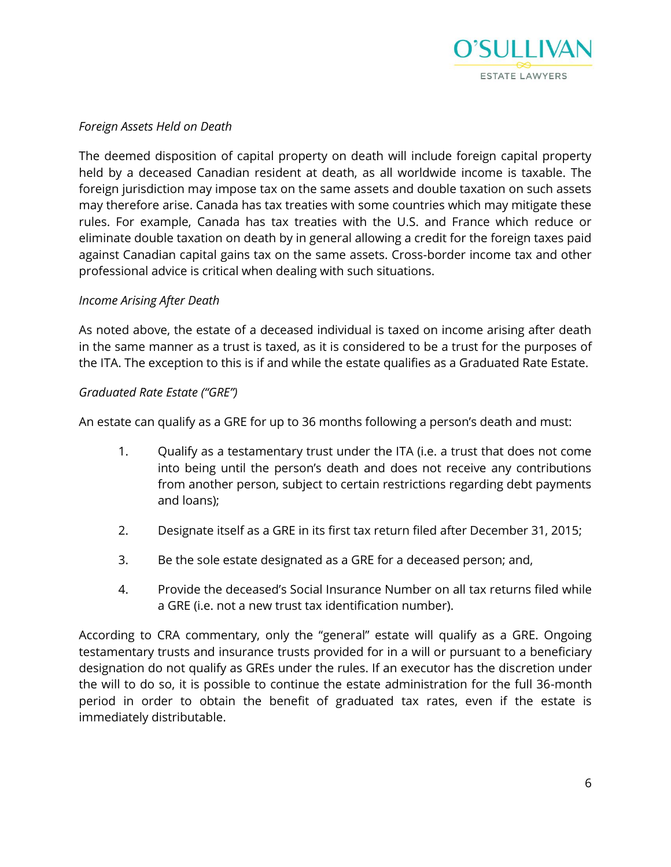

### *Foreign Assets Held on Death*

The deemed disposition of capital property on death will include foreign capital property held by a deceased Canadian resident at death, as all worldwide income is taxable. The foreign jurisdiction may impose tax on the same assets and double taxation on such assets may therefore arise. Canada has tax treaties with some countries which may mitigate these rules. For example, Canada has tax treaties with the U.S. and France which reduce or eliminate double taxation on death by in general allowing a credit for the foreign taxes paid against Canadian capital gains tax on the same assets. Cross-border income tax and other professional advice is critical when dealing with such situations.

#### *Income Arising After Death*

As noted above, the estate of a deceased individual is taxed on income arising after death in the same manner as a trust is taxed, as it is considered to be a trust for the purposes of the ITA. The exception to this is if and while the estate qualifies as a Graduated Rate Estate.

#### *Graduated Rate Estate ("GRE")*

An estate can qualify as a GRE for up to 36 months following a person's death and must:

- 1. Qualify as a testamentary trust under the ITA (i.e. a trust that does not come into being until the person's death and does not receive any contributions from another person, subject to certain restrictions regarding debt payments and loans);
- 2. Designate itself as a GRE in its first tax return filed after December 31, 2015;
- 3. Be the sole estate designated as a GRE for a deceased person; and,
- 4. Provide the deceased's Social Insurance Number on all tax returns filed while a GRE (i.e. not a new trust tax identification number).

According to CRA commentary, only the "general" estate will qualify as a GRE. Ongoing testamentary trusts and insurance trusts provided for in a will or pursuant to a beneficiary designation do not qualify as GREs under the rules. If an executor has the discretion under the will to do so, it is possible to continue the estate administration for the full 36-month period in order to obtain the benefit of graduated tax rates, even if the estate is immediately distributable.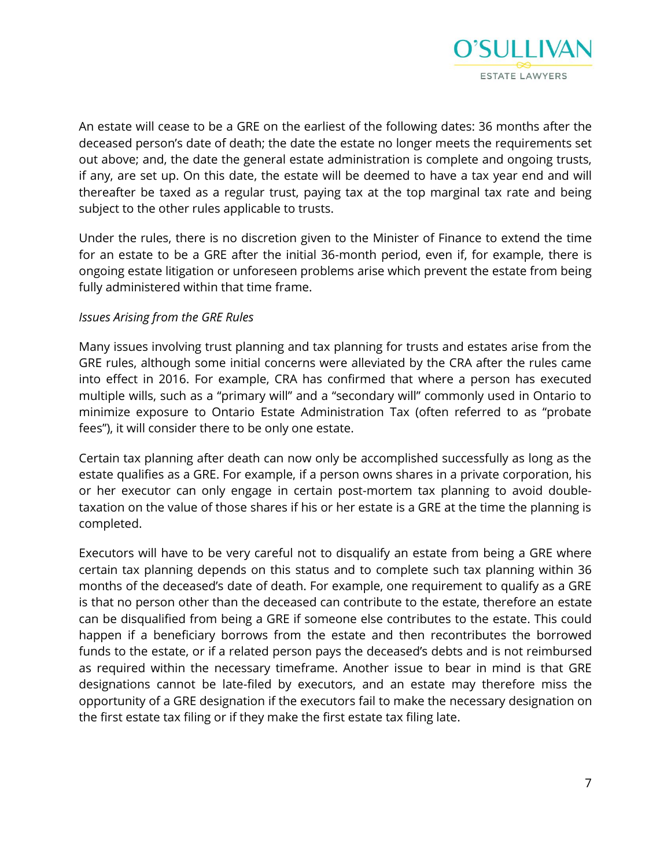

An estate will cease to be a GRE on the earliest of the following dates: 36 months after the deceased person's date of death; the date the estate no longer meets the requirements set out above; and, the date the general estate administration is complete and ongoing trusts, if any, are set up. On this date, the estate will be deemed to have a tax year end and will thereafter be taxed as a regular trust, paying tax at the top marginal tax rate and being subject to the other rules applicable to trusts.

Under the rules, there is no discretion given to the Minister of Finance to extend the time for an estate to be a GRE after the initial 36-month period, even if, for example, there is ongoing estate litigation or unforeseen problems arise which prevent the estate from being fully administered within that time frame.

#### *Issues Arising from the GRE Rules*

Many issues involving trust planning and tax planning for trusts and estates arise from the GRE rules, although some initial concerns were alleviated by the CRA after the rules came into effect in 2016. For example, CRA has confirmed that where a person has executed multiple wills, such as a "primary will" and a "secondary will" commonly used in Ontario to minimize exposure to Ontario Estate Administration Tax (often referred to as "probate fees"), it will consider there to be only one estate.

Certain tax planning after death can now only be accomplished successfully as long as the estate qualifies as a GRE. For example, if a person owns shares in a private corporation, his or her executor can only engage in certain post-mortem tax planning to avoid doubletaxation on the value of those shares if his or her estate is a GRE at the time the planning is completed.

Executors will have to be very careful not to disqualify an estate from being a GRE where certain tax planning depends on this status and to complete such tax planning within 36 months of the deceased's date of death. For example, one requirement to qualify as a GRE is that no person other than the deceased can contribute to the estate, therefore an estate can be disqualified from being a GRE if someone else contributes to the estate. This could happen if a beneficiary borrows from the estate and then recontributes the borrowed funds to the estate, or if a related person pays the deceased's debts and is not reimbursed as required within the necessary timeframe. Another issue to bear in mind is that GRE designations cannot be late-filed by executors, and an estate may therefore miss the opportunity of a GRE designation if the executors fail to make the necessary designation on the first estate tax filing or if they make the first estate tax filing late.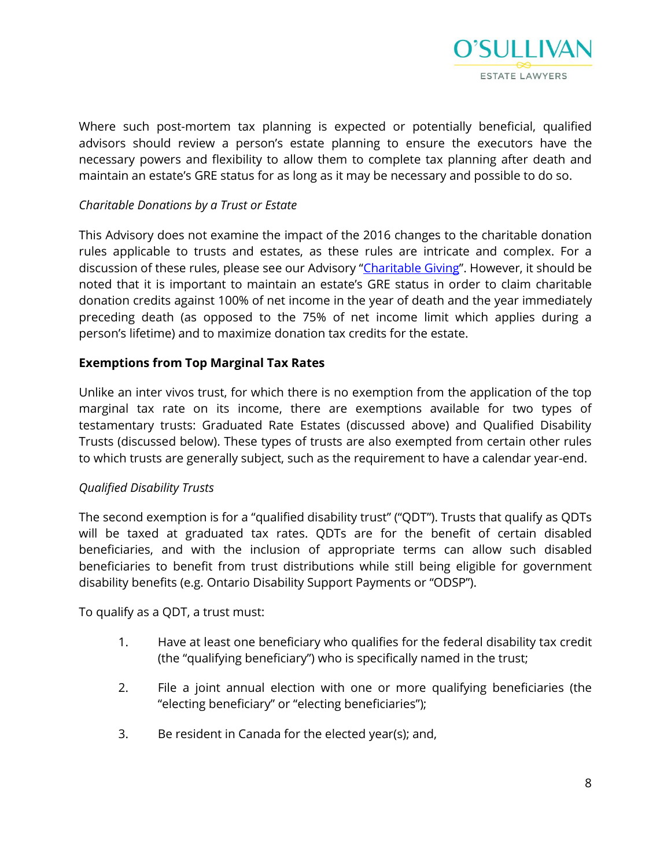

Where such post-mortem tax planning is expected or potentially beneficial, qualified advisors should review a person's estate planning to ensure the executors have the necessary powers and flexibility to allow them to complete tax planning after death and maintain an estate's GRE status for as long as it may be necessary and possible to do so.

# *Charitable Donations by a Trust or Estate*

This Advisory does not examine the impact of the 2016 changes to the charitable donation rules applicable to trusts and estates, as these rules are intricate and complex. For a discussion of these rules, please see our Advisory "[Charitable Giving](https://www.osullivanlaw.com/Advisory-Letters/Chairitable-Giving.pdf)". However, it should be noted that it is important to maintain an estate's GRE status in order to claim charitable donation credits against 100% of net income in the year of death and the year immediately preceding death (as opposed to the 75% of net income limit which applies during a person's lifetime) and to maximize donation tax credits for the estate.

# **Exemptions from Top Marginal Tax Rates**

Unlike an inter vivos trust, for which there is no exemption from the application of the top marginal tax rate on its income, there are exemptions available for two types of testamentary trusts: Graduated Rate Estates (discussed above) and Qualified Disability Trusts (discussed below). These types of trusts are also exempted from certain other rules to which trusts are generally subject, such as the requirement to have a calendar year-end.

### *Qualified Disability Trusts*

The second exemption is for a "qualified disability trust" ("QDT"). Trusts that qualify as QDTs will be taxed at graduated tax rates. QDTs are for the benefit of certain disabled beneficiaries, and with the inclusion of appropriate terms can allow such disabled beneficiaries to benefit from trust distributions while still being eligible for government disability benefits (e.g. Ontario Disability Support Payments or "ODSP").

To qualify as a QDT, a trust must:

- 1. Have at least one beneficiary who qualifies for the federal disability tax credit (the "qualifying beneficiary") who is specifically named in the trust;
- 2. File a joint annual election with one or more qualifying beneficiaries (the "electing beneficiary" or "electing beneficiaries");
- 3. Be resident in Canada for the elected year(s); and,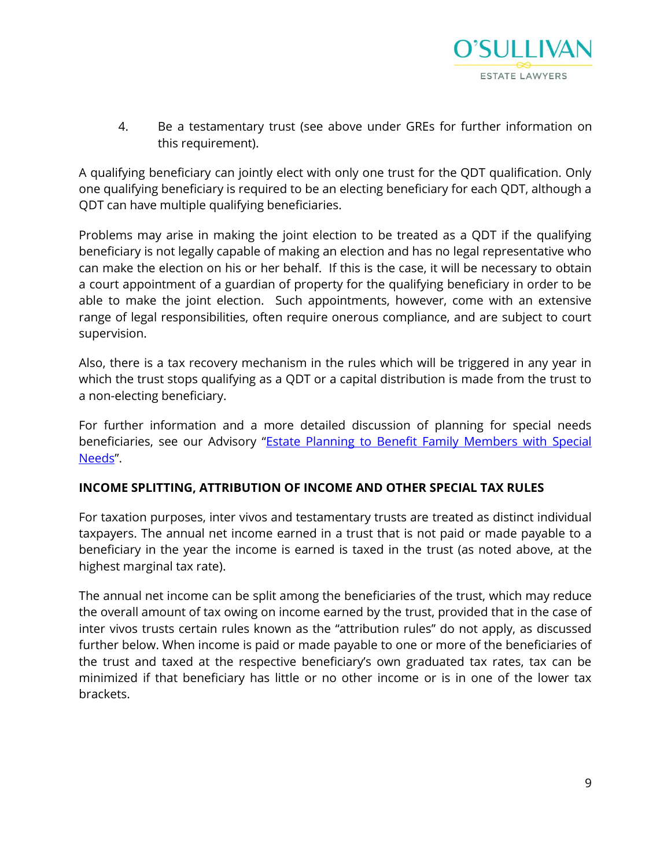

4. Be a testamentary trust (see above under GREs for further information on this requirement).

A qualifying beneficiary can jointly elect with only one trust for the QDT qualification. Only one qualifying beneficiary is required to be an electing beneficiary for each QDT, although a QDT can have multiple qualifying beneficiaries.

Problems may arise in making the joint election to be treated as a QDT if the qualifying beneficiary is not legally capable of making an election and has no legal representative who can make the election on his or her behalf. If this is the case, it will be necessary to obtain a court appointment of a guardian of property for the qualifying beneficiary in order to be able to make the joint election. Such appointments, however, come with an extensive range of legal responsibilities, often require onerous compliance, and are subject to court supervision.

Also, there is a tax recovery mechanism in the rules which will be triggered in any year in which the trust stops qualifying as a QDT or a capital distribution is made from the trust to a non-electing beneficiary.

For further information and a more detailed discussion of planning for special needs beneficiaries, see our Advisory "Estate Planning to Benefit Family Members with Special [Needs](https://www.osullivanlaw.com/Advisory-Letters/Estate-Planning-to-Benefit-Family-Members-with-Special-Needs.pdf)".

### **INCOME SPLITTING, ATTRIBUTION OF INCOME AND OTHER SPECIAL TAX RULES**

For taxation purposes, inter vivos and testamentary trusts are treated as distinct individual taxpayers. The annual net income earned in a trust that is not paid or made payable to a beneficiary in the year the income is earned is taxed in the trust (as noted above, at the highest marginal tax rate).

The annual net income can be split among the beneficiaries of the trust, which may reduce the overall amount of tax owing on income earned by the trust, provided that in the case of inter vivos trusts certain rules known as the "attribution rules" do not apply, as discussed further below. When income is paid or made payable to one or more of the beneficiaries of the trust and taxed at the respective beneficiary's own graduated tax rates, tax can be minimized if that beneficiary has little or no other income or is in one of the lower tax brackets.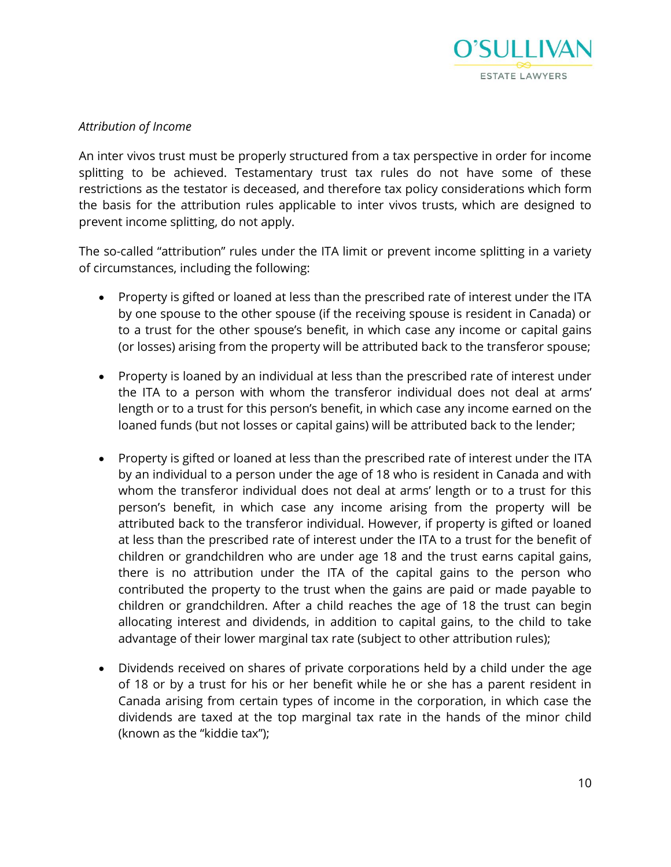

# *Attribution of Income*

An inter vivos trust must be properly structured from a tax perspective in order for income splitting to be achieved. Testamentary trust tax rules do not have some of these restrictions as the testator is deceased, and therefore tax policy considerations which form the basis for the attribution rules applicable to inter vivos trusts, which are designed to prevent income splitting, do not apply.

The so-called "attribution" rules under the ITA limit or prevent income splitting in a variety of circumstances, including the following:

- Property is gifted or loaned at less than the prescribed rate of interest under the ITA by one spouse to the other spouse (if the receiving spouse is resident in Canada) or to a trust for the other spouse's benefit, in which case any income or capital gains (or losses) arising from the property will be attributed back to the transferor spouse;
- Property is loaned by an individual at less than the prescribed rate of interest under the ITA to a person with whom the transferor individual does not deal at arms' length or to a trust for this person's benefit, in which case any income earned on the loaned funds (but not losses or capital gains) will be attributed back to the lender;
- Property is gifted or loaned at less than the prescribed rate of interest under the ITA by an individual to a person under the age of 18 who is resident in Canada and with whom the transferor individual does not deal at arms' length or to a trust for this person's benefit, in which case any income arising from the property will be attributed back to the transferor individual. However, if property is gifted or loaned at less than the prescribed rate of interest under the ITA to a trust for the benefit of children or grandchildren who are under age 18 and the trust earns capital gains, there is no attribution under the ITA of the capital gains to the person who contributed the property to the trust when the gains are paid or made payable to children or grandchildren. After a child reaches the age of 18 the trust can begin allocating interest and dividends, in addition to capital gains, to the child to take advantage of their lower marginal tax rate (subject to other attribution rules);
- Dividends received on shares of private corporations held by a child under the age of 18 or by a trust for his or her benefit while he or she has a parent resident in Canada arising from certain types of income in the corporation, in which case the dividends are taxed at the top marginal tax rate in the hands of the minor child (known as the "kiddie tax");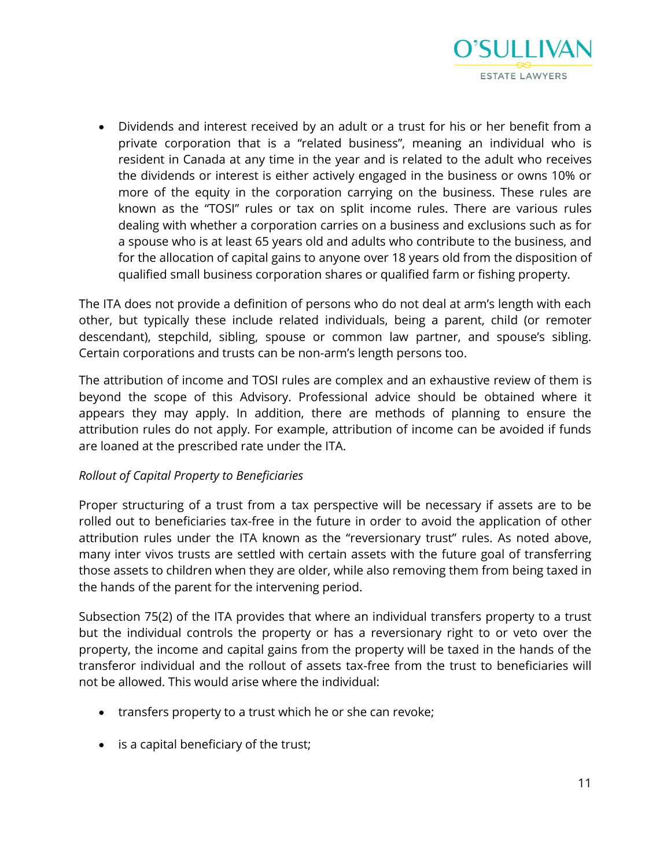

 Dividends and interest received by an adult or a trust for his or her benefit from a private corporation that is a "related business", meaning an individual who is resident in Canada at any time in the year and is related to the adult who receives the dividends or interest is either actively engaged in the business or owns 10% or more of the equity in the corporation carrying on the business. These rules are known as the "TOSI" rules or tax on split income rules. There are various rules dealing with whether a corporation carries on a business and exclusions such as for a spouse who is at least 65 years old and adults who contribute to the business, and for the allocation of capital gains to anyone over 18 years old from the disposition of qualified small business corporation shares or qualified farm or fishing property.

The ITA does not provide a definition of persons who do not deal at arm's length with each other, but typically these include related individuals, being a parent, child (or remoter descendant), stepchild, sibling, spouse or common law partner, and spouse's sibling. Certain corporations and trusts can be non-arm's length persons too.

The attribution of income and TOSI rules are complex and an exhaustive review of them is beyond the scope of this Advisory. Professional advice should be obtained where it appears they may apply. In addition, there are methods of planning to ensure the attribution rules do not apply. For example, attribution of income can be avoided if funds are loaned at the prescribed rate under the ITA.

### *Rollout of Capital Property to Beneficiaries*

Proper structuring of a trust from a tax perspective will be necessary if assets are to be rolled out to beneficiaries tax-free in the future in order to avoid the application of other attribution rules under the ITA known as the "reversionary trust" rules. As noted above, many inter vivos trusts are settled with certain assets with the future goal of transferring those assets to children when they are older, while also removing them from being taxed in the hands of the parent for the intervening period.

Subsection 75(2) of the ITA provides that where an individual transfers property to a trust but the individual controls the property or has a reversionary right to or veto over the property, the income and capital gains from the property will be taxed in the hands of the transferor individual and the rollout of assets tax-free from the trust to beneficiaries will not be allowed. This would arise where the individual:

- transfers property to a trust which he or she can revoke;
- is a capital beneficiary of the trust;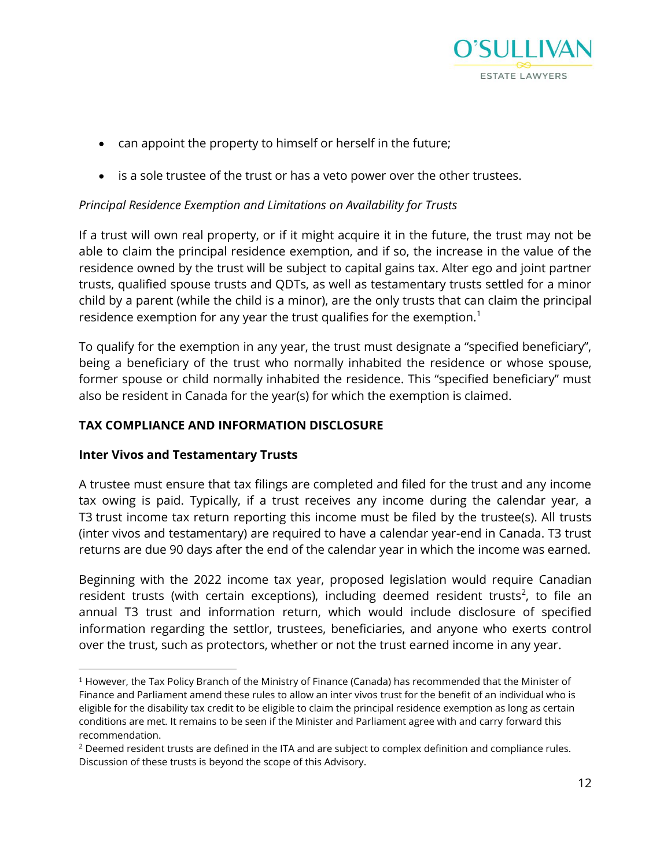

- can appoint the property to himself or herself in the future;
- is a sole trustee of the trust or has a veto power over the other trustees.

# *Principal Residence Exemption and Limitations on Availability for Trusts*

If a trust will own real property, or if it might acquire it in the future, the trust may not be able to claim the principal residence exemption, and if so, the increase in the value of the residence owned by the trust will be subject to capital gains tax. Alter ego and joint partner trusts, qualified spouse trusts and QDTs, as well as testamentary trusts settled for a minor child by a parent (while the child is a minor), are the only trusts that can claim the principal residence exemption for any year the trust qualifies for the exemption.<sup>1</sup>

To qualify for the exemption in any year, the trust must designate a "specified beneficiary", being a beneficiary of the trust who normally inhabited the residence or whose spouse, former spouse or child normally inhabited the residence. This "specified beneficiary" must also be resident in Canada for the year(s) for which the exemption is claimed.

### **TAX COMPLIANCE AND INFORMATION DISCLOSURE**

### **Inter Vivos and Testamentary Trusts**

 $\overline{\phantom{a}}$ 

A trustee must ensure that tax filings are completed and filed for the trust and any income tax owing is paid. Typically, if a trust receives any income during the calendar year, a T3 trust income tax return reporting this income must be filed by the trustee(s). All trusts (inter vivos and testamentary) are required to have a calendar year-end in Canada. T3 trust returns are due 90 days after the end of the calendar year in which the income was earned.

Beginning with the 2022 income tax year, proposed legislation would require Canadian resident trusts (with certain exceptions), including deemed resident trusts<sup>2</sup>, to file an annual T3 trust and information return, which would include disclosure of specified information regarding the settlor, trustees, beneficiaries, and anyone who exerts control over the trust, such as protectors, whether or not the trust earned income in any year.

<sup>1</sup> However, the Tax Policy Branch of the Ministry of Finance (Canada) has recommended that the Minister of Finance and Parliament amend these rules to allow an inter vivos trust for the benefit of an individual who is eligible for the disability tax credit to be eligible to claim the principal residence exemption as long as certain conditions are met. It remains to be seen if the Minister and Parliament agree with and carry forward this recommendation.

<sup>&</sup>lt;sup>2</sup> Deemed resident trusts are defined in the ITA and are subject to complex definition and compliance rules. Discussion of these trusts is beyond the scope of this Advisory.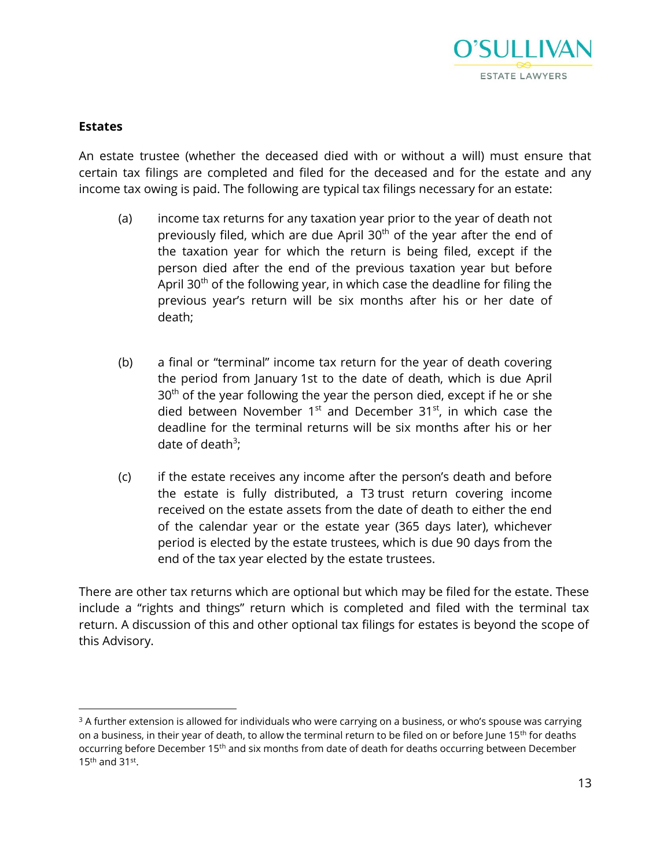

#### **Estates**

 $\overline{\phantom{a}}$ 

An estate trustee (whether the deceased died with or without a will) must ensure that certain tax filings are completed and filed for the deceased and for the estate and any income tax owing is paid. The following are typical tax filings necessary for an estate:

- (a) income tax returns for any taxation year prior to the year of death not previously filed, which are due April 30<sup>th</sup> of the year after the end of the taxation year for which the return is being filed, except if the person died after the end of the previous taxation year but before April  $30<sup>th</sup>$  of the following year, in which case the deadline for filing the previous year's return will be six months after his or her date of death;
- (b) a final or "terminal" income tax return for the year of death covering the period from January 1st to the date of death, which is due April 30<sup>th</sup> of the year following the year the person died, except if he or she died between November  $1<sup>st</sup>$  and December 31 $<sup>st</sup>$ , in which case the</sup> deadline for the terminal returns will be six months after his or her date of death<sup>3</sup>;
- (c) if the estate receives any income after the person's death and before the estate is fully distributed, a T3 trust return covering income received on the estate assets from the date of death to either the end of the calendar year or the estate year (365 days later), whichever period is elected by the estate trustees, which is due 90 days from the end of the tax year elected by the estate trustees.

There are other tax returns which are optional but which may be filed for the estate. These include a "rights and things" return which is completed and filed with the terminal tax return. A discussion of this and other optional tax filings for estates is beyond the scope of this Advisory.

<sup>&</sup>lt;sup>3</sup> A further extension is allowed for individuals who were carrying on a business, or who's spouse was carrying on a business, in their year of death, to allow the terminal return to be filed on or before June 15<sup>th</sup> for deaths occurring before December 15<sup>th</sup> and six months from date of death for deaths occurring between December  $15<sup>th</sup>$  and  $31<sup>st</sup>$ .